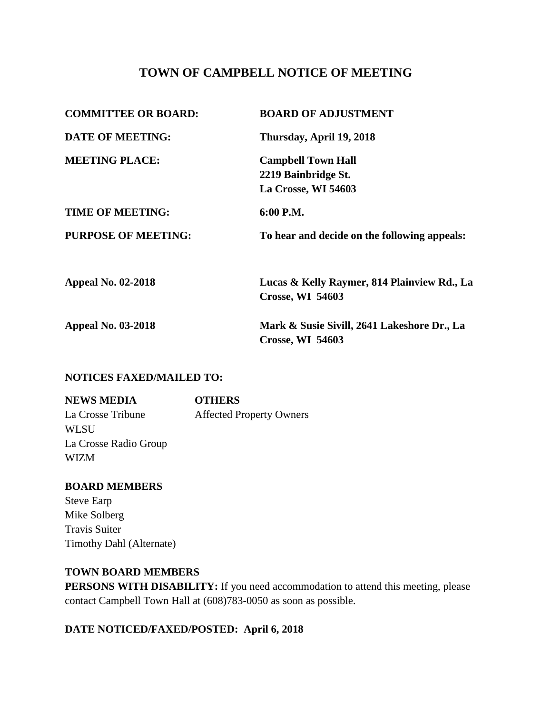# **TOWN OF CAMPBELL NOTICE OF MEETING**

| <b>COMMITTEE OR BOARD:</b> | <b>BOARD OF ADJUSTMENT</b>                                              |
|----------------------------|-------------------------------------------------------------------------|
| <b>DATE OF MEETING:</b>    | Thursday, April 19, 2018                                                |
| <b>MEETING PLACE:</b>      | <b>Campbell Town Hall</b><br>2219 Bainbridge St.<br>La Crosse, WI 54603 |
| <b>TIME OF MEETING:</b>    | 6:00 P.M.                                                               |
| <b>PURPOSE OF MEETING:</b> | To hear and decide on the following appeals:                            |
| <b>Appeal No. 02-2018</b>  | Lucas & Kelly Raymer, 814 Plainview Rd., La<br><b>Crosse, WI 54603</b>  |
| <b>Appeal No. 03-2018</b>  | Mark & Susie Sivill, 2641 Lakeshore Dr., La<br><b>Crosse, WI 54603</b>  |

#### **NOTICES FAXED/MAILED TO:**

**NEWS MEDIA OTHERS** La Crosse Tribune Affected Property Owners **WLSU** La Crosse Radio Group WIZM

**BOARD MEMBERS** Steve Earp Mike Solberg Travis Suiter Timothy Dahl (Alternate)

### **TOWN BOARD MEMBERS**

**PERSONS WITH DISABILITY:** If you need accommodation to attend this meeting, please contact Campbell Town Hall at (608)783-0050 as soon as possible.

## **DATE NOTICED/FAXED/POSTED: April 6, 2018**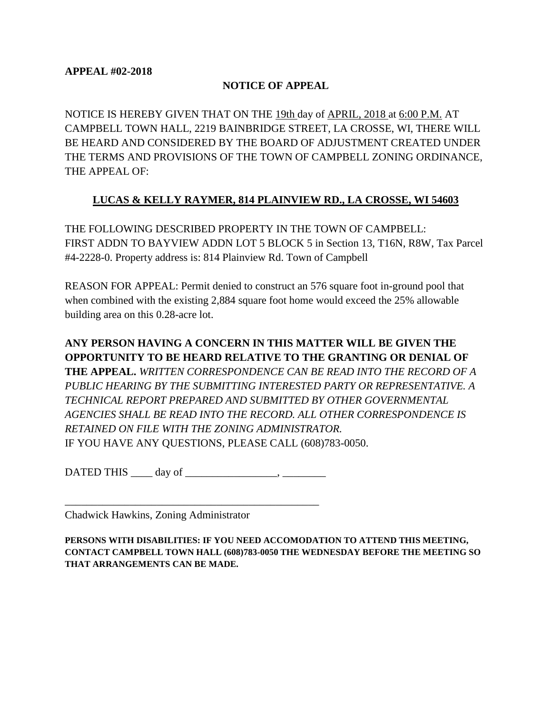#### **NOTICE OF APPEAL**

NOTICE IS HEREBY GIVEN THAT ON THE 19th day of APRIL, 2018 at 6:00 P.M. AT CAMPBELL TOWN HALL, 2219 BAINBRIDGE STREET, LA CROSSE, WI, THERE WILL BE HEARD AND CONSIDERED BY THE BOARD OF ADJUSTMENT CREATED UNDER THE TERMS AND PROVISIONS OF THE TOWN OF CAMPBELL ZONING ORDINANCE, THE APPEAL OF:

## **LUCAS & KELLY RAYMER, 814 PLAINVIEW RD., LA CROSSE, WI 54603**

THE FOLLOWING DESCRIBED PROPERTY IN THE TOWN OF CAMPBELL: FIRST ADDN TO BAYVIEW ADDN LOT 5 BLOCK 5 in Section 13, T16N, R8W, Tax Parcel #4-2228-0. Property address is: 814 Plainview Rd. Town of Campbell

REASON FOR APPEAL: Permit denied to construct an 576 square foot in-ground pool that when combined with the existing 2,884 square foot home would exceed the 25% allowable building area on this 0.28-acre lot.

**ANY PERSON HAVING A CONCERN IN THIS MATTER WILL BE GIVEN THE OPPORTUNITY TO BE HEARD RELATIVE TO THE GRANTING OR DENIAL OF THE APPEAL.** *WRITTEN CORRESPONDENCE CAN BE READ INTO THE RECORD OF A PUBLIC HEARING BY THE SUBMITTING INTERESTED PARTY OR REPRESENTATIVE. A TECHNICAL REPORT PREPARED AND SUBMITTED BY OTHER GOVERNMENTAL AGENCIES SHALL BE READ INTO THE RECORD. ALL OTHER CORRESPONDENCE IS RETAINED ON FILE WITH THE ZONING ADMINISTRATOR.*  IF YOU HAVE ANY QUESTIONS, PLEASE CALL (608)783-0050.

DATED THIS day of  $\qquad \qquad$  .

\_\_\_\_\_\_\_\_\_\_\_\_\_\_\_\_\_\_\_\_\_\_\_\_\_\_\_\_\_\_\_\_\_\_\_\_\_\_\_\_\_\_\_\_\_\_\_

Chadwick Hawkins, Zoning Administrator

**PERSONS WITH DISABILITIES: IF YOU NEED ACCOMODATION TO ATTEND THIS MEETING, CONTACT CAMPBELL TOWN HALL (608)783-0050 THE WEDNESDAY BEFORE THE MEETING SO THAT ARRANGEMENTS CAN BE MADE.**